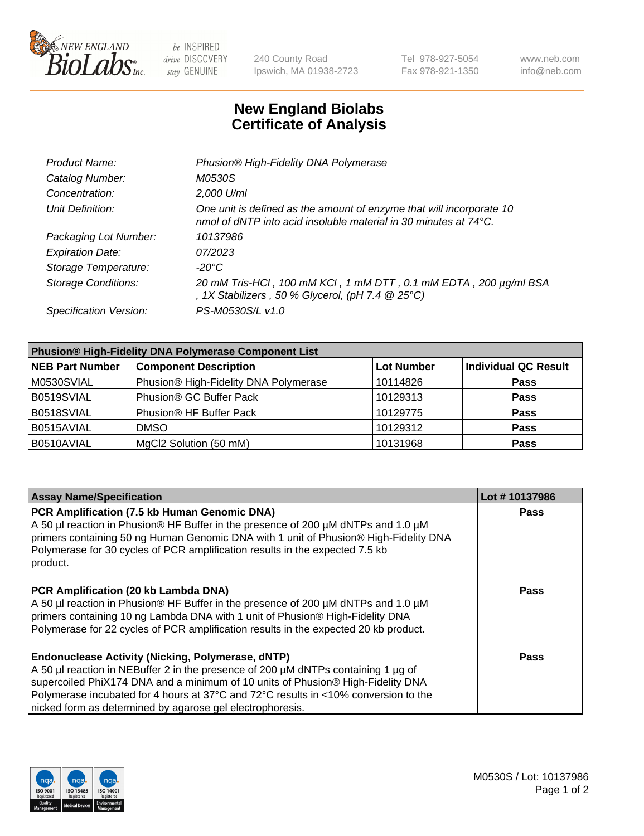

be INSPIRED drive DISCOVERY stay GENUINE

240 County Road Ipswich, MA 01938-2723 Tel 978-927-5054 Fax 978-921-1350 www.neb.com info@neb.com

## **New England Biolabs Certificate of Analysis**

| Product Name:              | Phusion® High-Fidelity DNA Polymerase                                                                                                    |
|----------------------------|------------------------------------------------------------------------------------------------------------------------------------------|
| Catalog Number:            | M0530S                                                                                                                                   |
| Concentration:             | 2,000 U/ml                                                                                                                               |
| Unit Definition:           | One unit is defined as the amount of enzyme that will incorporate 10<br>nmol of dNTP into acid insoluble material in 30 minutes at 74°C. |
| Packaging Lot Number:      | 10137986                                                                                                                                 |
| <b>Expiration Date:</b>    | 07/2023                                                                                                                                  |
| Storage Temperature:       | -20°C                                                                                                                                    |
| <b>Storage Conditions:</b> | 20 mM Tris-HCl, 100 mM KCl, 1 mM DTT, 0.1 mM EDTA, 200 µg/ml BSA<br>, 1X Stabilizers, 50 % Glycerol, (pH 7.4 $@25°C$ )                   |
| Specification Version:     | PS-M0530S/L v1.0                                                                                                                         |

| <b>Phusion® High-Fidelity DNA Polymerase Component List</b> |                                       |                   |                             |  |
|-------------------------------------------------------------|---------------------------------------|-------------------|-----------------------------|--|
| <b>NEB Part Number</b>                                      | <b>Component Description</b>          | <b>Lot Number</b> | <b>Individual QC Result</b> |  |
| M0530SVIAL                                                  | Phusion® High-Fidelity DNA Polymerase | 10114826          | <b>Pass</b>                 |  |
| B0519SVIAL                                                  | Phusion® GC Buffer Pack               | 10129313          | <b>Pass</b>                 |  |
| B0518SVIAL                                                  | Phusion® HF Buffer Pack               | 10129775          | <b>Pass</b>                 |  |
| B0515AVIAL                                                  | <b>DMSO</b>                           | 10129312          | <b>Pass</b>                 |  |
| B0510AVIAL                                                  | MgCl2 Solution (50 mM)                | 10131968          | <b>Pass</b>                 |  |

| <b>Assay Name/Specification</b>                                                                                                                                                                                                                                                                                                                                                      | Lot #10137986 |
|--------------------------------------------------------------------------------------------------------------------------------------------------------------------------------------------------------------------------------------------------------------------------------------------------------------------------------------------------------------------------------------|---------------|
| PCR Amplification (7.5 kb Human Genomic DNA)<br>A 50 µl reaction in Phusion® HF Buffer in the presence of 200 µM dNTPs and 1.0 µM<br>primers containing 50 ng Human Genomic DNA with 1 unit of Phusion® High-Fidelity DNA<br>Polymerase for 30 cycles of PCR amplification results in the expected 7.5 kb<br>product.                                                                | <b>Pass</b>   |
| PCR Amplification (20 kb Lambda DNA)<br>A 50 µl reaction in Phusion® HF Buffer in the presence of 200 µM dNTPs and 1.0 µM<br>primers containing 10 ng Lambda DNA with 1 unit of Phusion® High-Fidelity DNA<br>Polymerase for 22 cycles of PCR amplification results in the expected 20 kb product.                                                                                   | Pass          |
| <b>Endonuclease Activity (Nicking, Polymerase, dNTP)</b><br>A 50 µl reaction in NEBuffer 2 in the presence of 200 µM dNTPs containing 1 µg of<br>supercoiled PhiX174 DNA and a minimum of 10 units of Phusion® High-Fidelity DNA<br>Polymerase incubated for 4 hours at 37°C and 72°C results in <10% conversion to the<br>nicked form as determined by agarose gel electrophoresis. | Pass          |